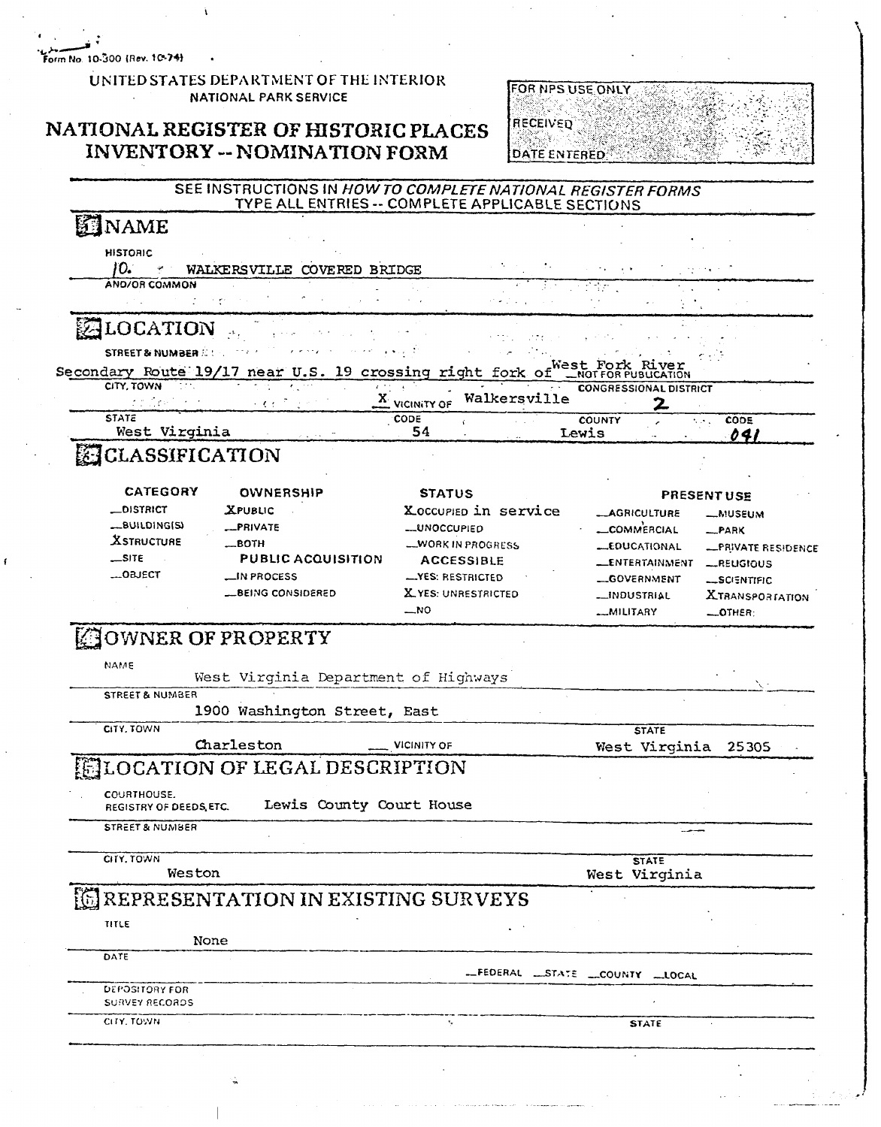Form No. 10-300 (Rev. 10-74)

#### UNITED STATES DEPARTMENT OF THE INTERIOR **NATIONAL PARK SERVICE**

#### NATIONAL REGISTER OF HISTORIC PLACES **INVENTORY -- NOMINATION FORM**



#### SEE INSTRUCTIONS IN HOW TO COMPLETE NATIONAL REGISTER FORMS TYPE ALL ENTRIES -- COMPLETE APPLICABLE SECTIONS

# **SENAME**

**HISTORIC**  $10.$ WALKERSVILLE COVERED BRIDGE AND/OR COMMON

#### ALOCATION  $\Delta \mathbf{r}$  ,

STREET & NUMBER 2.1 ... .West Secondary Route 19/17 near U.S. 19 crossing right fork of **TION** CITY, TOWN CONGRESSIONAL DISTRICT

| and the first property of the | $\frac{A}{1}$ VICINITY OF | Walkersville | -------------------------- |  |             |  |
|-------------------------------|---------------------------|--------------|----------------------------|--|-------------|--|
| <b>STATE</b>                  | CODE                      |              | <b>COUNTY</b>              |  | <b>CODE</b> |  |
| West Virginia                 |                           |              | Lewis                      |  |             |  |
| <b>RESPONSE</b><br>_______    |                           |              |                            |  |             |  |

### **EE CLASSIFICATION**

| <b>CATEGORY</b><br><b>OWNERSHIP</b>                    |                                                                                            | <b>STATUS</b>                                                                                                  | <b>PRESENT USE</b>                                                                                        |                                                                             |  |
|--------------------------------------------------------|--------------------------------------------------------------------------------------------|----------------------------------------------------------------------------------------------------------------|-----------------------------------------------------------------------------------------------------------|-----------------------------------------------------------------------------|--|
| _DISTRICT<br><b>XSTRUCTURE</b><br>$-SITE$<br>$$ OBJECT | <b>XPUBLIC</b><br>-PRIVATE<br>$\_$ BOTH<br><b>PUBLIC ACQUISITION</b><br><b>LIN PROCESS</b> | Xoccupied in service<br><b>LUNOCCUPIED</b><br><b>WORK IN PROGRESS</b><br><b>ACCESSIBLE</b><br>-YES: RESTRICTED | <b>__AGRICULTURE</b><br>LCOMMERCIAL<br><b>LEDUCATIONAL</b><br><b>LENTERTAINMENT</b><br><b>_GOVERNMENT</b> | <b>_MUSEUM</b><br>$-PARK$<br>-PRIVATE RESIDENCE<br>-REUGIOUS<br>-SCIENTIFIC |  |
|                                                        | <b>LBEING CONSIDERED</b>                                                                   | X YES: UNRESTRICTED                                                                                            | <b>__INDUSTRIAL</b>                                                                                       | <b>XTRANSPORTATION</b>                                                      |  |
|                                                        |                                                                                            | $-$ <sub>NO</sub>                                                                                              | <b>MILITARY</b>                                                                                           | $-$ OTHER:                                                                  |  |

# **JOWNER OF PROPERTY**

NAME

West Virginia Department of Highways

**STREET & NUMBER** 

1900 Washington Street, East

CITY, TOWN

Charleston **VICINITY OF** 

# **LOCATION OF LEGAL DESCRIPTION**

**COURTHOUSE.** REGISTRY OF DEEDS, ETC.

Lewis County Court House

**STREET & NUMBER** 

CITY, TOWN

Weston

**STATE** West Virginia

**STATE** 

West Virginia

25305

## REPRESENTATION IN EXISTING SURVEYS

| TITLE                 |                                |
|-----------------------|--------------------------------|
| None                  |                                |
| DATE                  |                                |
|                       | -FEDERAL LSTATE _COUNTY _LOCAL |
| DEPOSITORY FOR        |                                |
| <b>SURVEY RECORDS</b> |                                |
| CITY, TOWN            | <b>STATE</b>                   |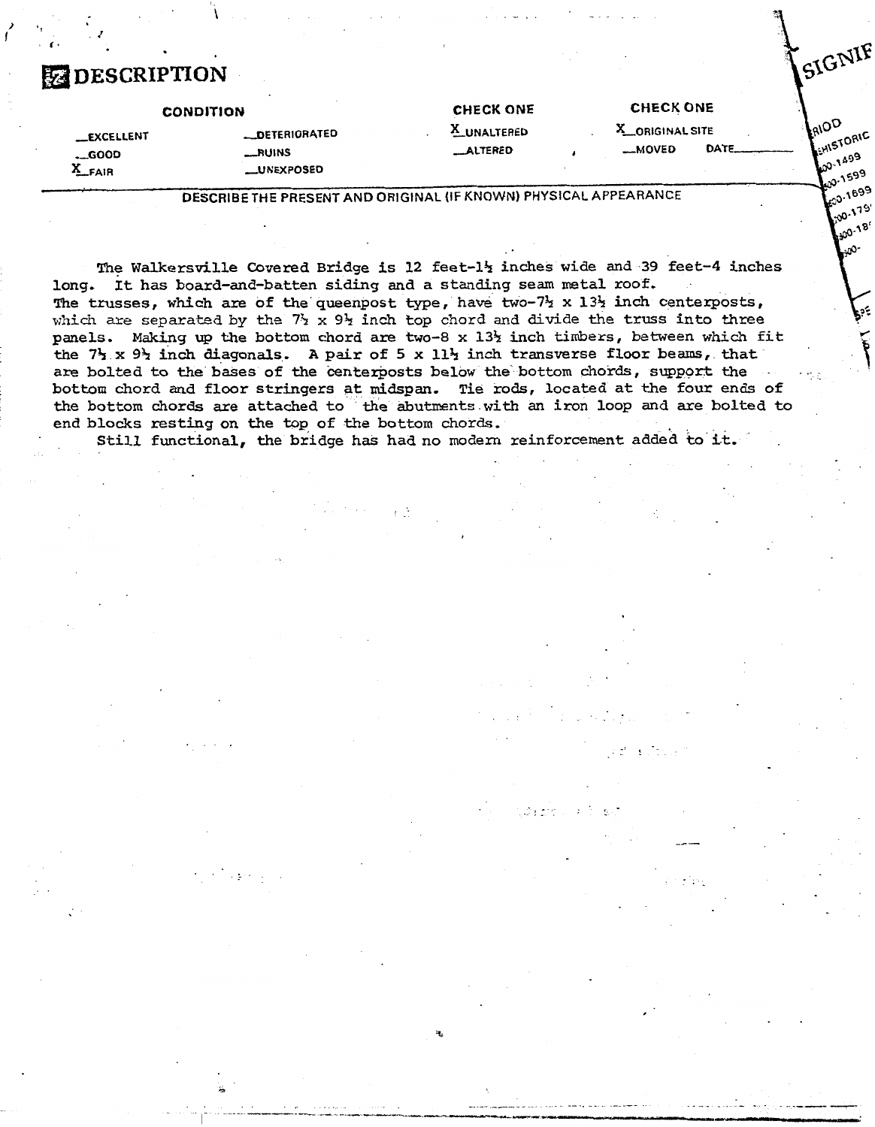# *a* **DESCRIPTION**

**I) 't** .J **<sup>I</sup>**

|                                               | <b>CONDITION</b>                                    | <b>CHECK ONE</b>        | <b>CHECK ONE</b>           |      |                                                         |
|-----------------------------------------------|-----------------------------------------------------|-------------------------|----------------------------|------|---------------------------------------------------------|
| <b>__EXCELLENT</b><br>$\sim$ 6000<br>$A$ FAIR | <b>__DETERIORATED</b><br>RUINS<br><b>LUNEXPOSED</b> | A UNALTERED<br>_ALTERED | A_ORIGINAL SITE<br>__MOVED | DATE | <b>LAIOP</b><br><b>ACHISTORIA</b><br>$.49^{9}$<br>.1599 |
|                                               |                                                     |                         |                            |      |                                                         |

**DESCRIBE THE PRESENT AND ORIGINAL (IF KNOWN) PHYSICAL APPEARANCE** 

el and and all

SIGNIF

00-1-2<br>600-1599 20-1699

The Walkersville **Covered** Bridge is 12 feet-1% inches wide **and 39** feet-4 inches long. It has board-and-batten siding and a standing seam metal roof. The trusses, which are of the queenpost type, have two-7 $\frac{1}{2}$  x 13 $\frac{1}{2}$  inch centerposts, which are separated by the 7 $\frac{1}{2}$  x 9 $\frac{1}{2}$  inch top chord and divide the truss into three panels. Making up the bottom chord are two-8 **x** 13% **inch** timbers, between which fit the 7% x **93** inch diagonals. A **pair** of 5 **x** 11% inch transverse floor **beams,** that **are** bolted to **the** bases of the centerposts below the bottom chords, sqpport the bottom chord and floor stringers at **midspan.** Tie **rods,** located at **the** four ends of the bottom chords are attached to **the** abutznents with an iron loop and are bolted to

end blocks resting on the top of the bottom chords. Still functional, the bridge **has had** no modern reinforcement added to it.

 $\epsilon$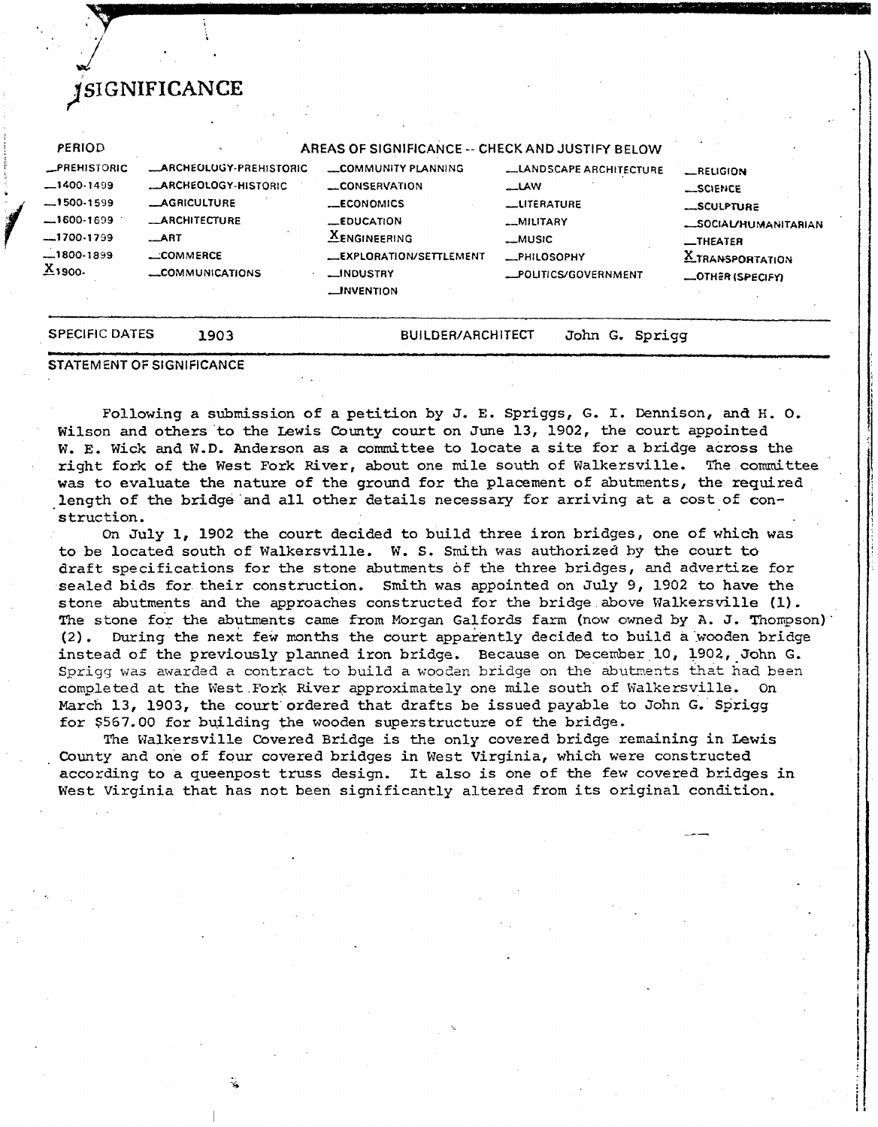|                             | STATEMENT OF SIGNIFICANCE                   |                                                  |                                            |                         |
|-----------------------------|---------------------------------------------|--------------------------------------------------|--------------------------------------------|-------------------------|
| <b>SPECIFIC DATES</b>       | 1903                                        | <b>BUILDER/ARCHITECT</b>                         | John G. Sprigg                             |                         |
|                             |                                             | _INVENTION                                       |                                            | <b>_OTHER (SPECIFY)</b> |
| 1800-1899<br><u>Ă</u> 1900- | $\equiv$ COMMERCE<br><b>_COMMUNICATIONS</b> | <b>LEXPLORATION/SETTLEMENT</b><br>_INDUSTRY      | <b>_PHILOSOPHY</b><br>_POLITICS/GOVERNMENT | XTRANSPORTATION         |
| --1700-1799                 | $\_$ ART                                    | <b>XENGINEERING</b>                              | __MUSIC                                    | $I$ HEATER              |
| --1600-1699                 | <b>_ARCHITECTURE</b>                        | $E$ EDUCATION                                    | _MILITARY                                  | SOCIAL/HUMANITARIAN     |
| -1500-1599                  | <b>_AGRICULTURE</b>                         | <b>__ECONOMICS</b>                               | <b>LUTERATURE</b>                          | <b>__SCULPTURE</b>      |
| $-1400-1499$                | _ARCHEOLOGY-HISTORIC                        | CONSERVATION                                     | $\equiv$ LAW                               | SCIENCE                 |
| <b>_PREHISTORIC</b>         | <b>_ARCHEOLOGY-PREHISTORIC</b>              | COMMUNITY PLANNING                               | <b>LANDSCAPE ARCHITECTURE</b>              | LRELIGION               |
| <b>PERIOD</b>               |                                             | AREAS OF SIGNIFICANCE -- CHECK AND JUSTIFY BELOW |                                            |                         |

**jc SIGNIFICANCE** 

Following a submission of a petition by J. E. Spriggs, G. I. Dennison, and **H, 0.**  Wilson and others to the Lewis County court on June 13, 1902, the court appointed W. **E.** Wick and W.D. Anderson as a committee to locate a site for a bridge across the right fork of the West Fork River, about one mile south of Walkersville. The committee was to evaluate the nature of the ground for the placement of abutnents, the required length of the bridge and all other details necessary for arriving at a cost of construction.

On July 1, 1902 the court decided to build three iron bridges, one of which was to be located south of Walkersville. W. S. **Smith was** authorized **by** the court **to**  draft specifications for the stone abutments of the three bridges, and advertize for sealed bids for their construction. Smith was appointed on July **9,** 1902 to **have** the stone abutments and the approaches constructed for the bridge above Walkersville **(I).**  The stone for the abutments came from Morgan Galfords farm (now owned by  $A. J.$  Thompson) (2). During the next few mnths the court apparently decided to build a wooden bridge instead of the previously planned iron bridge, Because on December 10, 1902, John G. Sprigg **was** awarded *a* contract to build a woodan bridge on the abuhezts that **had** been completed at the West Fork River approximately one mile south of Walkersville, **On**  March 13, 1903, the court ordered that drafts be issued payable to John *G.* Sprigg for \$567.00 for building the wooden superstructure of the bridge.

The Walkersville Covered Bridge is the only covered bridge remaining in **Lewis**  County and one of four covered bridges in West Virginia, which were constructed according to a queenpost truss design. It also is one of the few covered bridges in West Virginia that has not been significantly altered from its original condition.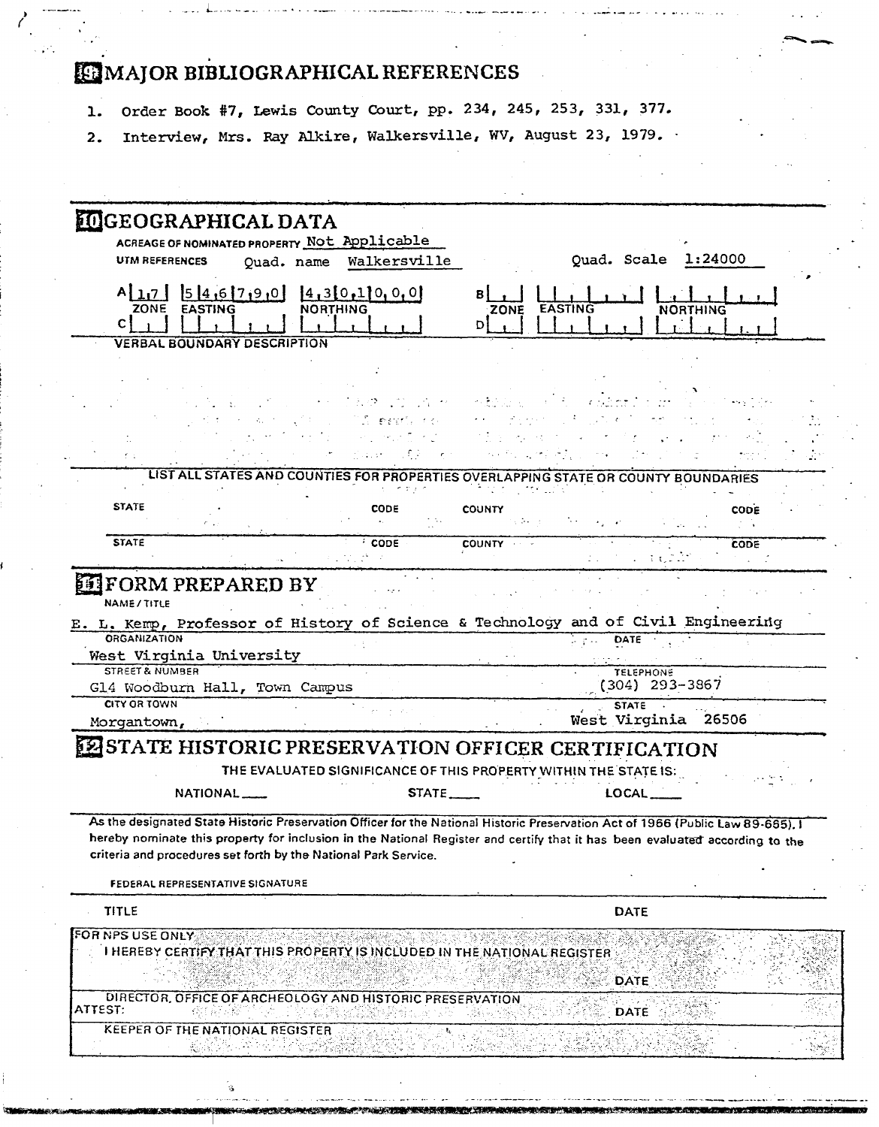# **WAJOR BIBLIOGRAPHICAL REFERENCES**

- 1. Order Book #7, Lewis County Court, pp. 234, 245, 253, 331, 377,
- 2. Interview, Mrs. Ray Alkire, Walkersville, WV, August 23, 1979. -

| <b>MIGEOGRAPHICAL DATA</b><br>ACREAGE OF NOMINATED PROPERTY Not Applicable<br>Ouad. Scale 1:24000<br>UTM REFERENCES<br>Quad. name Walkersville<br>$A$ <sub>11</sub> 7 546790<br>4,3[0,1]0,0[0]<br>ZONE EASTING<br><b>NORTHING</b><br>ZONE EASTING<br><b>NORTHING</b><br>С<br>Dł<br><b>VERBAL BOUNDARY DESCRIPTION</b>              |  |
|------------------------------------------------------------------------------------------------------------------------------------------------------------------------------------------------------------------------------------------------------------------------------------------------------------------------------------|--|
|                                                                                                                                                                                                                                                                                                                                    |  |
|                                                                                                                                                                                                                                                                                                                                    |  |
|                                                                                                                                                                                                                                                                                                                                    |  |
|                                                                                                                                                                                                                                                                                                                                    |  |
|                                                                                                                                                                                                                                                                                                                                    |  |
|                                                                                                                                                                                                                                                                                                                                    |  |
| le santa                                                                                                                                                                                                                                                                                                                           |  |
|                                                                                                                                                                                                                                                                                                                                    |  |
| LIST ALL STATES AND COUNTIES FOR PROPERTIES OVERLAPPING STATE OR COUNTY BOUNDARIES                                                                                                                                                                                                                                                 |  |
| <b>STATE</b><br><b>CODE</b><br><b>COUNTY</b><br><b>CODE</b><br>the common                                                                                                                                                                                                                                                          |  |
| <b>STATE</b><br>COUNTY - -<br><b>CODE</b><br><b>CODE</b>                                                                                                                                                                                                                                                                           |  |
| <b>NAME/TITLE</b><br>E. L. Kemp, Professor of History of Science & Technology and of Civil Engineering<br><b>ORGANIZATION</b><br>DATE<br>and and<br>West Virginia University                                                                                                                                                       |  |
| <b>STREET &amp; NUMBER</b><br><b>TELEPHONE</b><br>$(304)$ 293-3867<br>Gl4 Woodburn Hall, Town Campus                                                                                                                                                                                                                               |  |
| <b>CITY OR TOWN</b><br><b>STATE</b><br>West Virginia 26506<br>Morgantown,                                                                                                                                                                                                                                                          |  |
| STATE HISTORIC PRESERVATION OFFICER CERTIFICATION                                                                                                                                                                                                                                                                                  |  |
| THE EVALUATED SIGNIFICANCE OF THIS PROPERTY WITHIN THE STATE IS:                                                                                                                                                                                                                                                                   |  |
| NATIONAL<br>STATE___<br>LOCAL__                                                                                                                                                                                                                                                                                                    |  |
| As the designated State Historic Preservation Officer for the National Historic Preservation Act of 1966 (Public Law 89-665), I<br>hereby nominate this property for inclusion in the National Register and certify that it has been evaluated according to the<br>criteria and procedures set forth by the National Park Service. |  |
| FEDERAL REPRESENTATIVE SIGNATURE                                                                                                                                                                                                                                                                                                   |  |
| <b>TITLE</b><br>DATE                                                                                                                                                                                                                                                                                                               |  |
| FOR NPS USE ONLY<br>I HEREBY CERTIFY THAT THIS PROPERTY IS INCLUDED IN THE NATIONAL REGISTER<br>DATE<br>DIRECTOR, OFFICE OF ARCHEOLOGY AND HISTORIC PRESERVATION                                                                                                                                                                   |  |
|                                                                                                                                                                                                                                                                                                                                    |  |
| ATTEST:<br><b>DATE</b><br>KEEPER OF THE NATIONAL REGISTER                                                                                                                                                                                                                                                                          |  |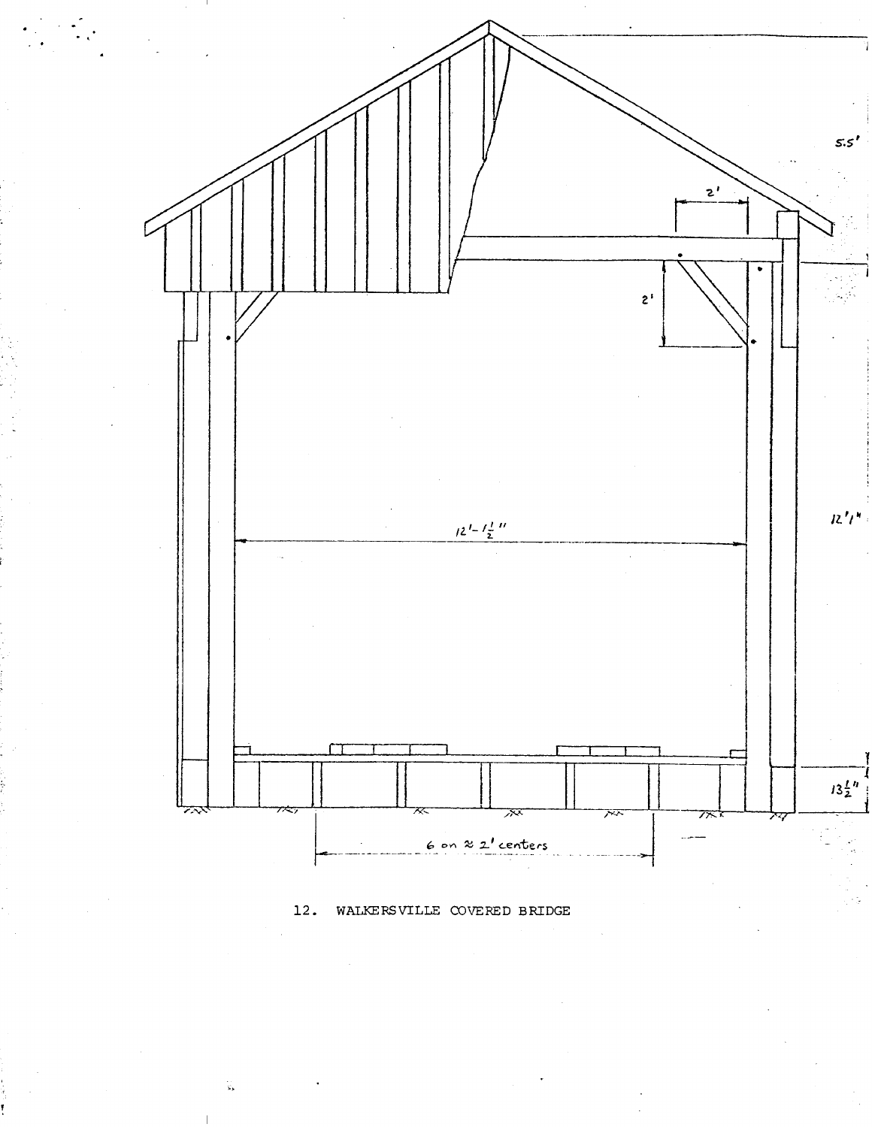

**12.** WALKERSVILLE COVERED BRIDGE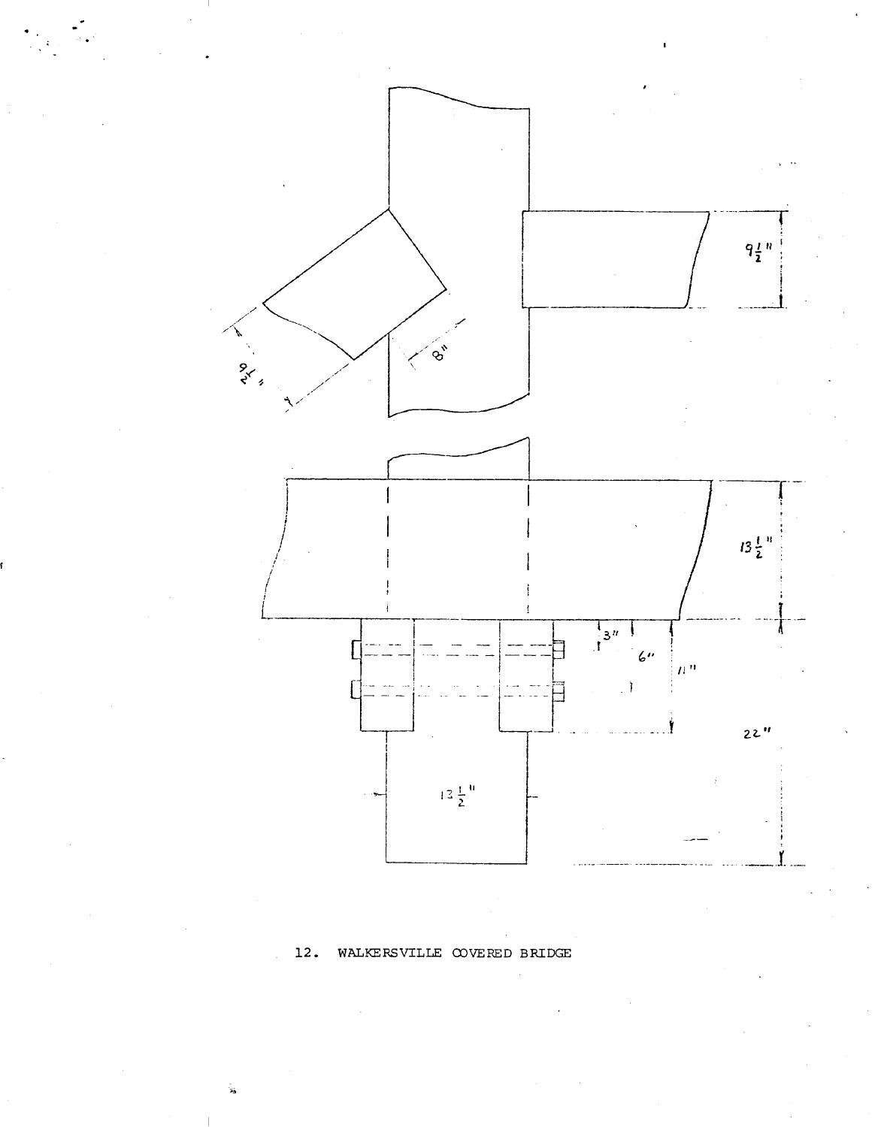

#### WALKERSVILLE COVERED BRIDGE 12.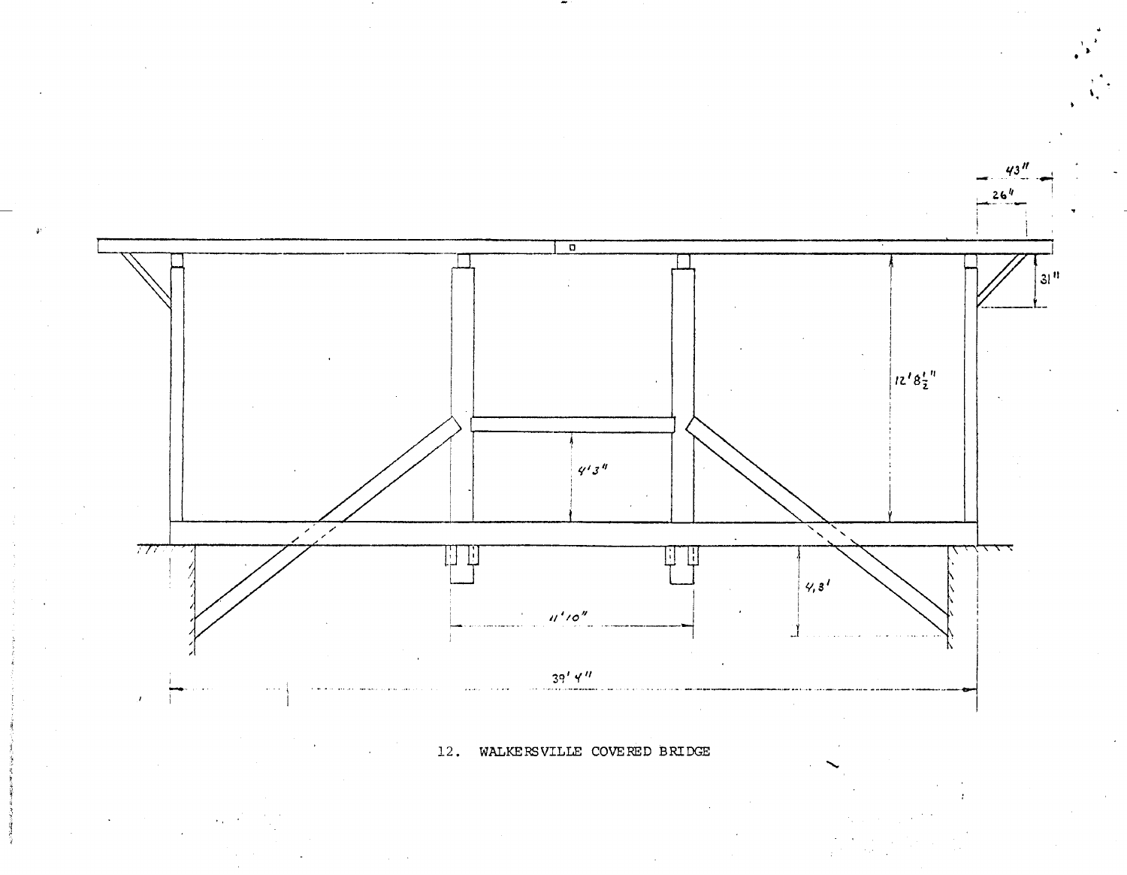

12. WALKERSVILLE COVEHED BRIDGE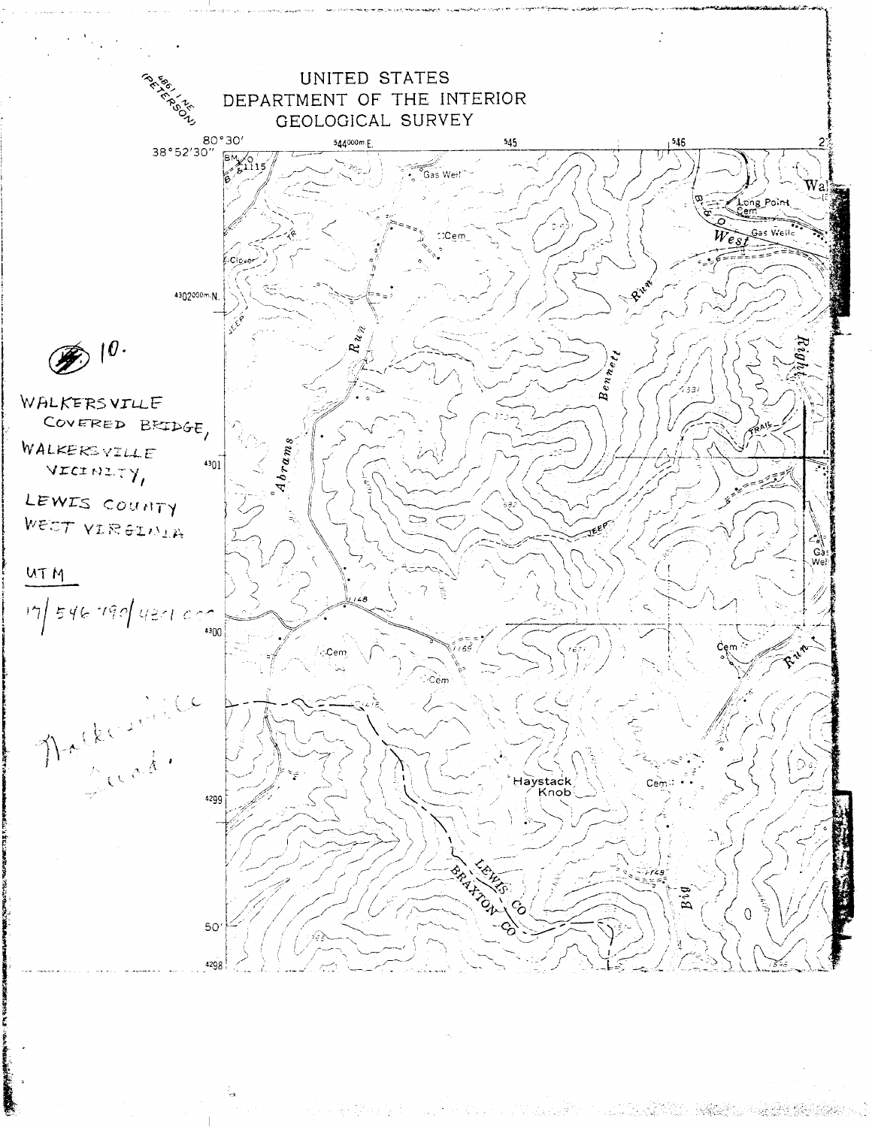